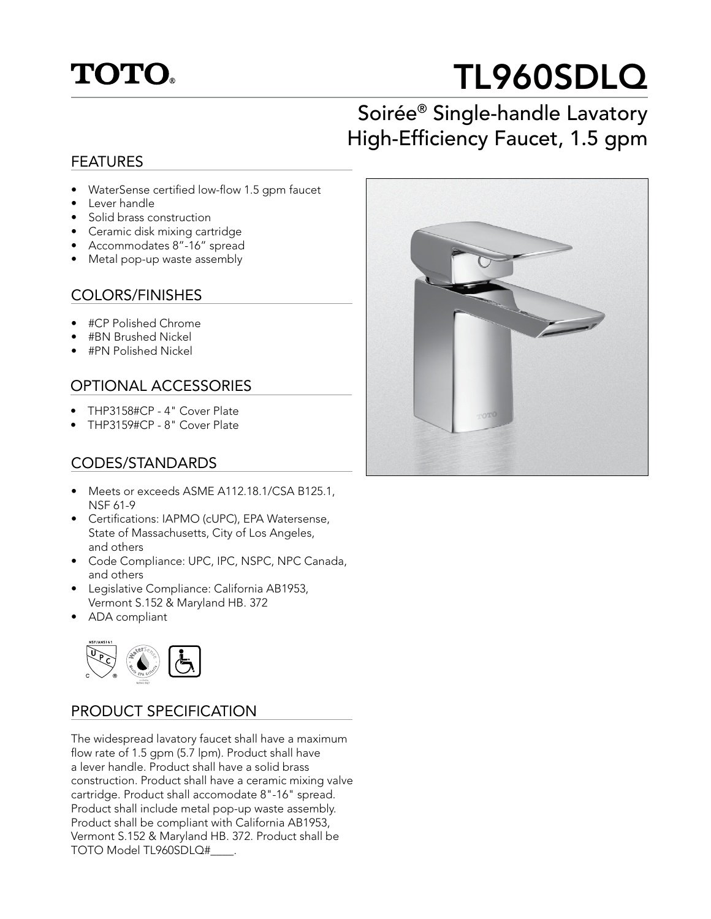

# TL960SDLQ

## Soirée® Single-handle Lavatory High-Efficiency Faucet, 1.5 gpm

#### FEATURES

- WaterSense certified low-flow 1.5 gpm faucet
- Lever handle
- Solid brass construction
- Ceramic disk mixing cartridge
- Accommodates 8"-16" spread
- Metal pop-up waste assembly

#### COLORS/FINISHES

- #CP Polished Chrome
- #BN Brushed Nickel
- #PN Polished Nickel

#### OPTIONAL ACCESSORIES

- THP3158#CP 4" Cover Plate
- THP3159#CP 8" Cover Plate

#### CODES/STANDARDS

- Meets or exceeds ASME A112.18.1/CSA B125.1, NSF 61-9
- Certifications: IAPMO (cUPC), EPA Watersense, State of Massachusetts, City of Los Angeles, and others
- Code Compliance: UPC, IPC, NSPC, NPC Canada, and others
- Legislative Compliance: California AB1953, Vermont S.152 & Maryland HB. 372
- ADA compliant



#### PRODUCT SPECIFICATION

The widespread lavatory faucet shall have a maximum flow rate of 1.5 gpm (5.7 lpm). Product shall have a lever handle. Product shall have a solid brass construction. Product shall have a ceramic mixing valve cartridge. Product shall accomodate 8"-16" spread. Product shall include metal pop-up waste assembly. Product shall be compliant with California AB1953, Vermont S.152 & Maryland HB. 372. Product shall be TOTO Model TL960SDLQ#\_\_\_\_.